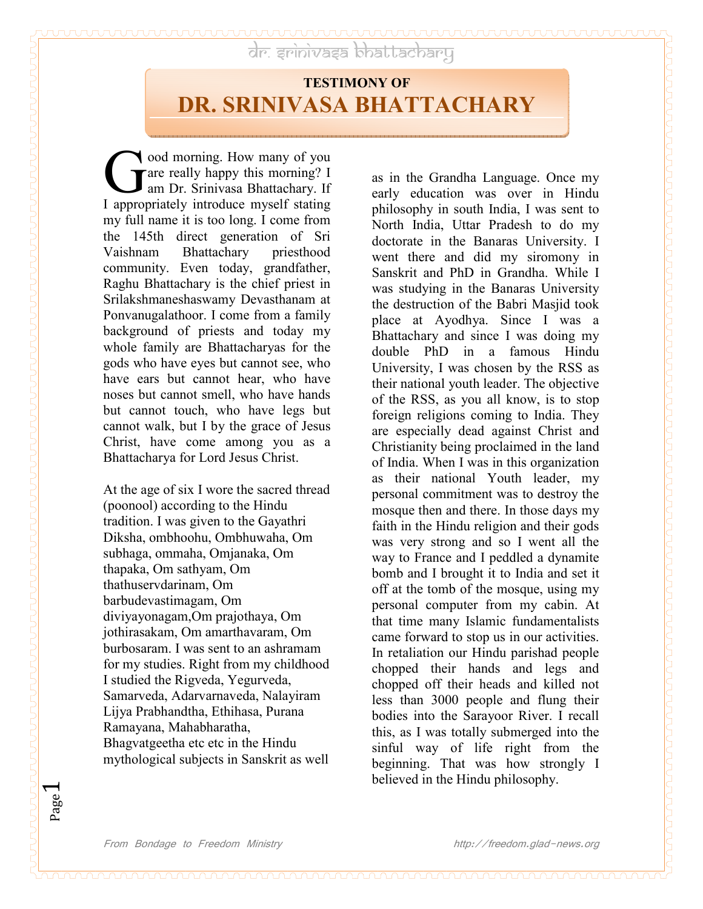Page  $\overline{\phantom{0}}$ 

dr. arinivasa bhattacharu

## **TESTIMONY OF DR. SRIIVASA BHATTACHARY**

ood morning. How many of you **T** are really happy this morning? I am Dr. Srinivasa Bhattachary. If **COM** and morning. How many of you are really happy this morning? I am Dr. Srinivasa Bhattachary. If I appropriately introduce myself stating my full name it is too long. I come from the 145th direct generation of Sri Vaishnam Bhattachary priesthood community. Even today, grandfather, Raghu Bhattachary is the chief priest in Srilakshmaneshaswamy Devasthanam at Ponvanugalathoor. I come from a family background of priests and today my whole family are Bhattacharyas for the gods who have eyes but cannot see, who have ears but cannot hear, who have noses but cannot smell, who have hands but cannot touch, who have legs but cannot walk, but I by the grace of Jesus Christ, have come among you as a Bhattacharya for Lord Jesus Christ.

At the age of six I wore the sacred thread (poonool) according to the Hindu tradition. I was given to the Gayathri Diksha, ombhoohu, Ombhuwaha, Om subhaga, ommaha, Omjanaka, Om thapaka, Om sathyam, Om thathuservdarinam, Om barbudevastimagam, Om diviyayonagam,Om prajothaya, Om jothirasakam, Om amarthavaram, Om burbosaram. I was sent to an ashramam for my studies. Right from my childhood I studied the Rigveda, Yegurveda, Samarveda, Adarvarnaveda, Nalayiram Lijya Prabhandtha, Ethihasa, Purana Ramayana, Mahabharatha, Bhagvatgeetha etc etc in the Hindu mythological subjects in Sanskrit as well

as in the Grandha Language. Once my early education was over in Hindu philosophy in south India, I was sent to North India, Uttar Pradesh to do my doctorate in the Banaras University. I went there and did my siromony in Sanskrit and PhD in Grandha. While I was studying in the Banaras University the destruction of the Babri Masjid took place at Ayodhya. Since I was a Bhattachary and since I was doing my double PhD in a famous Hindu University, I was chosen by the RSS as their national youth leader. The objective of the RSS, as you all know, is to stop foreign religions coming to India. They are especially dead against Christ and Christianity being proclaimed in the land of India. When I was in this organization as their national Youth leader, my personal commitment was to destroy the mosque then and there. In those days my faith in the Hindu religion and their gods was very strong and so I went all the way to France and I peddled a dynamite bomb and I brought it to India and set it off at the tomb of the mosque, using my personal computer from my cabin. At that time many Islamic fundamentalists came forward to stop us in our activities. In retaliation our Hindu parishad people chopped their hands and legs and chopped off their heads and killed not less than 3000 people and flung their bodies into the Sarayoor River. I recall this, as I was totally submerged into the sinful way of life right from the beginning. That was how strongly I believed in the Hindu philosophy.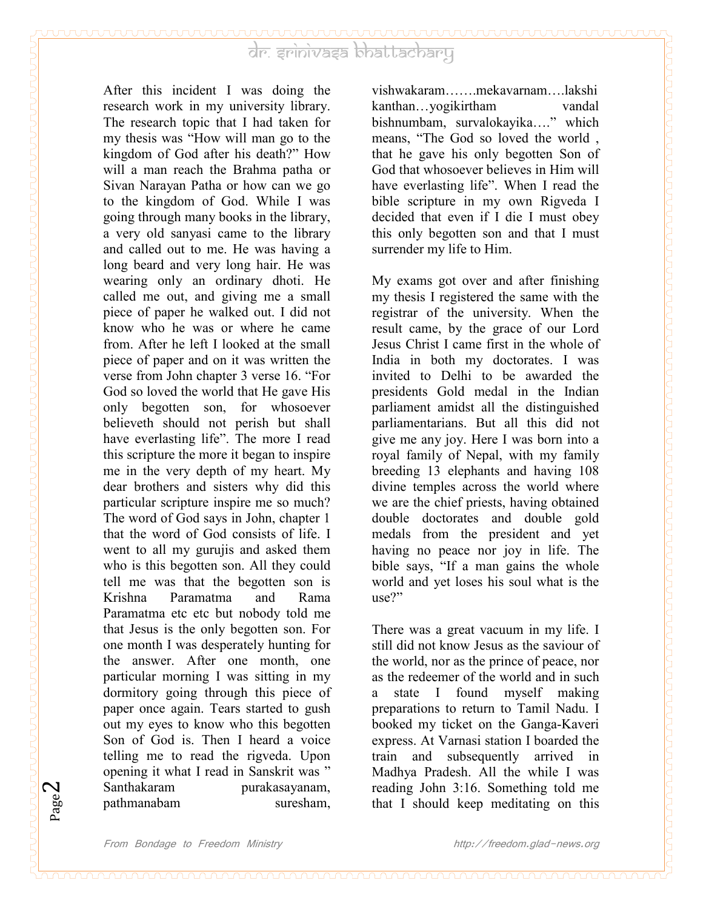After this incident I was doing the research work in my university library. The research topic that I had taken for my thesis was "How will man go to the kingdom of God after his death?" How will a man reach the Brahma patha or Sivan Narayan Patha or how can we go to the kingdom of God. While I was going through many books in the library, a very old sanyasi came to the library and called out to me. He was having a long beard and very long hair. He was wearing only an ordinary dhoti. He called me out, and giving me a small piece of paper he walked out. I did not know who he was or where he came from. After he left I looked at the small piece of paper and on it was written the verse from John chapter 3 verse 16. "For God so loved the world that He gave His only begotten son, for whosoever believeth should not perish but shall have everlasting life". The more I read this scripture the more it began to inspire me in the very depth of my heart. My dear brothers and sisters why did this particular scripture inspire me so much? The word of God says in John, chapter 1 that the word of God consists of life. I went to all my gurujis and asked them who is this begotten son. All they could tell me was that the begotten son is Krishna Paramatma and Rama Paramatma etc etc but nobody told me that Jesus is the only begotten son. For one month I was desperately hunting for the answer. After one month, one particular morning I was sitting in my dormitory going through this piece of paper once again. Tears started to gush out my eyes to know who this begotten Son of God is. Then I heard a voice telling me to read the rigveda. Upon opening it what I read in Sanskrit was " Santhakaram purakasayanam, pathmanabam suresham,

vishwakaram…….mekavarnam….lakshi kanthan…yogikirtham vandal bishnumbam, survalokayika…." which means, "The God so loved the world , that he gave his only begotten Son of God that whosoever believes in Him will have everlasting life". When I read the bible scripture in my own Rigveda I decided that even if I die I must obey this only begotten son and that I must surrender my life to Him.

My exams got over and after finishing my thesis I registered the same with the registrar of the university. When the result came, by the grace of our Lord Jesus Christ I came first in the whole of India in both my doctorates. I was invited to Delhi to be awarded the presidents Gold medal in the Indian parliament amidst all the distinguished parliamentarians. But all this did not give me any joy. Here I was born into a royal family of Nepal, with my family breeding 13 elephants and having 108 divine temples across the world where we are the chief priests, having obtained double doctorates and double gold medals from the president and yet having no peace nor joy in life. The bible says, "If a man gains the whole world and yet loses his soul what is the use?"

There was a great vacuum in my life. I still did not know Jesus as the saviour of the world, nor as the prince of peace, nor as the redeemer of the world and in such a state I found myself making preparations to return to Tamil Nadu. I booked my ticket on the Ganga-Kaveri express. At Varnasi station I boarded the train and subsequently arrived in Madhya Pradesh. All the while I was reading John 3:16. Something told me that I should keep meditating on this

Page  $\boldsymbol{\sim}$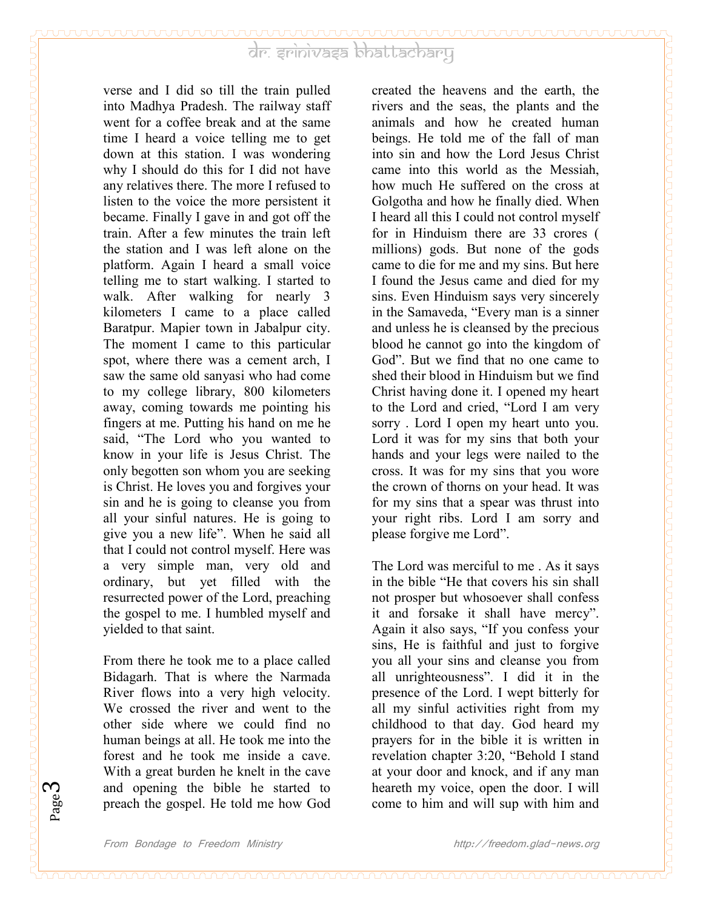verse and I did so till the train pulled into Madhya Pradesh. The railway staff went for a coffee break and at the same time I heard a voice telling me to get down at this station. I was wondering why I should do this for I did not have any relatives there. The more I refused to listen to the voice the more persistent it became. Finally I gave in and got off the train. After a few minutes the train left the station and I was left alone on the platform. Again I heard a small voice telling me to start walking. I started to walk. After walking for nearly 3 kilometers I came to a place called Baratpur. Mapier town in Jabalpur city. The moment I came to this particular spot, where there was a cement arch, I saw the same old sanyasi who had come to my college library, 800 kilometers away, coming towards me pointing his fingers at me. Putting his hand on me he said, "The Lord who you wanted to know in your life is Jesus Christ. The only begotten son whom you are seeking is Christ. He loves you and forgives your sin and he is going to cleanse you from all your sinful natures. He is going to give you a new life". When he said all that I could not control myself. Here was a very simple man, very old and ordinary, but yet filled with the resurrected power of the Lord, preaching the gospel to me. I humbled myself and yielded to that saint.

From there he took me to a place called Bidagarh. That is where the Narmada River flows into a very high velocity. We crossed the river and went to the other side where we could find no human beings at all. He took me into the forest and he took me inside a cave. With a great burden he knelt in the cave and opening the bible he started to preach the gospel. He told me how God

created the heavens and the earth, the rivers and the seas, the plants and the animals and how he created human beings. He told me of the fall of man into sin and how the Lord Jesus Christ came into this world as the Messiah, how much He suffered on the cross at Golgotha and how he finally died. When I heard all this I could not control myself for in Hinduism there are 33 crores ( millions) gods. But none of the gods came to die for me and my sins. But here I found the Jesus came and died for my sins. Even Hinduism says very sincerely in the Samaveda, "Every man is a sinner and unless he is cleansed by the precious blood he cannot go into the kingdom of God". But we find that no one came to shed their blood in Hinduism but we find Christ having done it. I opened my heart to the Lord and cried, "Lord I am very sorry . Lord I open my heart unto you. Lord it was for my sins that both your hands and your legs were nailed to the cross. It was for my sins that you wore the crown of thorns on your head. It was for my sins that a spear was thrust into your right ribs. Lord I am sorry and please forgive me Lord".

The Lord was merciful to me . As it says in the bible "He that covers his sin shall not prosper but whosoever shall confess it and forsake it shall have mercy". Again it also says, "If you confess your sins, He is faithful and just to forgive you all your sins and cleanse you from all unrighteousness". I did it in the presence of the Lord. I wept bitterly for all my sinful activities right from my childhood to that day. God heard my prayers for in the bible it is written in revelation chapter 3:20, "Behold I stand at your door and knock, and if any man heareth my voice, open the door. I will come to him and will sup with him and

Page ო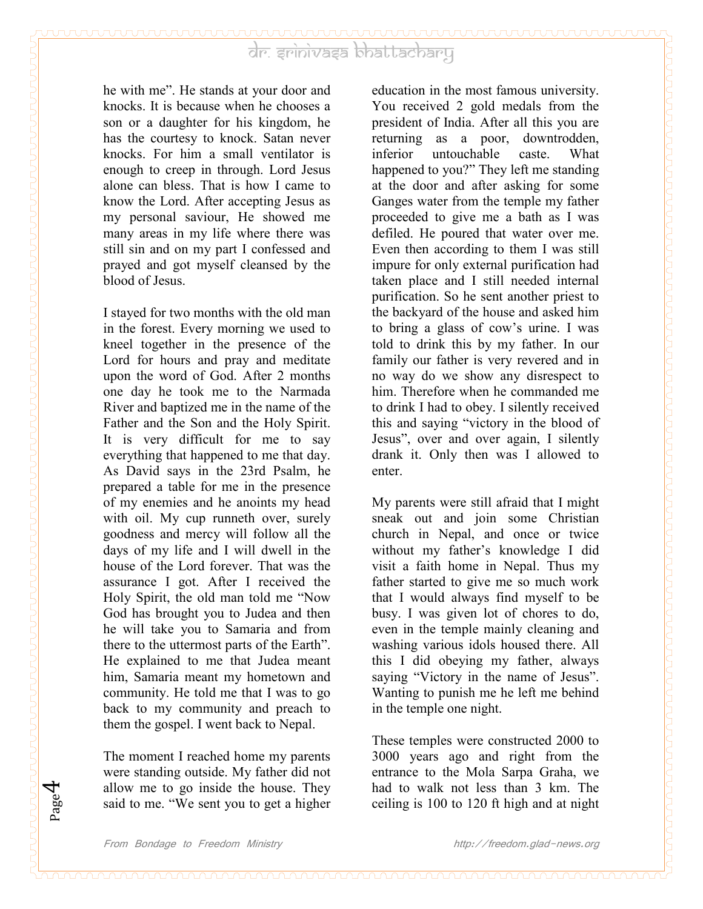he with me". He stands at your door and knocks. It is because when he chooses a son or a daughter for his kingdom, he has the courtesy to knock. Satan never knocks. For him a small ventilator is enough to creep in through. Lord Jesus alone can bless. That is how I came to know the Lord. After accepting Jesus as my personal saviour, He showed me many areas in my life where there was still sin and on my part I confessed and prayed and got myself cleansed by the blood of Jesus.

I stayed for two months with the old man in the forest. Every morning we used to kneel together in the presence of the Lord for hours and pray and meditate upon the word of God. After 2 months one day he took me to the Narmada River and baptized me in the name of the Father and the Son and the Holy Spirit. It is very difficult for me to say everything that happened to me that day. As David says in the 23rd Psalm, he prepared a table for me in the presence of my enemies and he anoints my head with oil. My cup runneth over, surely goodness and mercy will follow all the days of my life and I will dwell in the house of the Lord forever. That was the assurance I got. After I received the Holy Spirit, the old man told me "Now God has brought you to Judea and then he will take you to Samaria and from there to the uttermost parts of the Earth". He explained to me that Judea meant him, Samaria meant my hometown and community. He told me that I was to go back to my community and preach to them the gospel. I went back to Nepal.

The moment I reached home my parents were standing outside. My father did not allow me to go inside the house. They said to me. "We sent you to get a higher

education in the most famous university. You received 2 gold medals from the president of India. After all this you are returning as a poor, downtrodden, inferior untouchable caste. What happened to you?" They left me standing at the door and after asking for some Ganges water from the temple my father proceeded to give me a bath as I was defiled. He poured that water over me. Even then according to them I was still impure for only external purification had taken place and I still needed internal purification. So he sent another priest to the backyard of the house and asked him to bring a glass of cow's urine. I was told to drink this by my father. In our family our father is very revered and in no way do we show any disrespect to him. Therefore when he commanded me to drink I had to obey. I silently received this and saying "victory in the blood of Jesus", over and over again, I silently drank it. Only then was I allowed to enter.

My parents were still afraid that I might sneak out and join some Christian church in Nepal, and once or twice without my father's knowledge I did visit a faith home in Nepal. Thus my father started to give me so much work that I would always find myself to be busy. I was given lot of chores to do, even in the temple mainly cleaning and washing various idols housed there. All this I did obeying my father, always saying "Victory in the name of Jesus". Wanting to punish me he left me behind in the temple one night.

These temples were constructed 2000 to 3000 years ago and right from the entrance to the Mola Sarpa Graha, we had to walk not less than 3 km. The ceiling is 100 to 120 ft high and at night

Page 4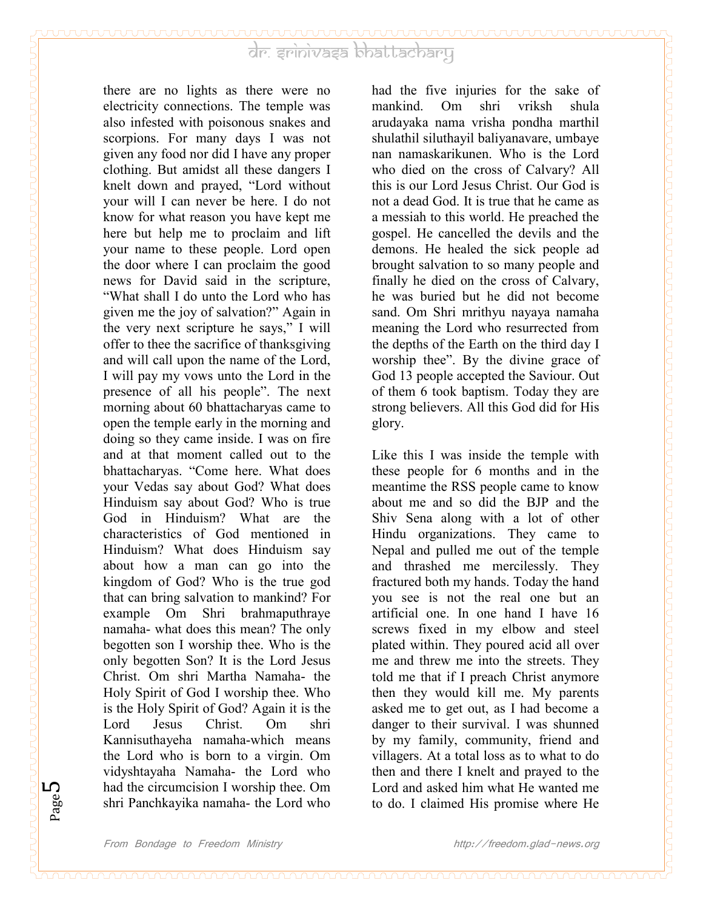there are no lights as there were no electricity connections. The temple was also infested with poisonous snakes and scorpions. For many days I was not given any food nor did I have any proper clothing. But amidst all these dangers I knelt down and prayed, "Lord without your will I can never be here. I do not know for what reason you have kept me here but help me to proclaim and lift your name to these people. Lord open the door where I can proclaim the good news for David said in the scripture, "What shall I do unto the Lord who has given me the joy of salvation?" Again in the very next scripture he says," I will offer to thee the sacrifice of thanksgiving and will call upon the name of the Lord, I will pay my vows unto the Lord in the presence of all his people". The next morning about 60 bhattacharyas came to open the temple early in the morning and doing so they came inside. I was on fire and at that moment called out to the bhattacharyas. "Come here. What does your Vedas say about God? What does Hinduism say about God? Who is true God in Hinduism? What are the characteristics of God mentioned in Hinduism? What does Hinduism say about how a man can go into the kingdom of God? Who is the true god that can bring salvation to mankind? For example Om Shri brahmaputhraye namaha- what does this mean? The only begotten son I worship thee. Who is the only begotten Son? It is the Lord Jesus Christ. Om shri Martha Namaha- the Holy Spirit of God I worship thee. Who is the Holy Spirit of God? Again it is the Lord Jesus Christ. Om shri Kannisuthayeha namaha-which means the Lord who is born to a virgin. Om vidyshtayaha Namaha- the Lord who had the circumcision I worship thee. Om shri Panchkayika namaha- the Lord who

had the five injuries for the sake of mankind. Om shri vriksh shula arudayaka nama vrisha pondha marthil shulathil siluthayil baliyanavare, umbaye nan namaskarikunen. Who is the Lord who died on the cross of Calvary? All this is our Lord Jesus Christ. Our God is not a dead God. It is true that he came as a messiah to this world. He preached the gospel. He cancelled the devils and the demons. He healed the sick people ad brought salvation to so many people and finally he died on the cross of Calvary, he was buried but he did not become sand. Om Shri mrithyu nayaya namaha meaning the Lord who resurrected from the depths of the Earth on the third day I worship thee". By the divine grace of God 13 people accepted the Saviour. Out of them 6 took baptism. Today they are strong believers. All this God did for His glory.

Like this I was inside the temple with these people for 6 months and in the meantime the RSS people came to know about me and so did the BJP and the Shiv Sena along with a lot of other Hindu organizations. They came to Nepal and pulled me out of the temple and thrashed me mercilessly. They fractured both my hands. Today the hand you see is not the real one but an artificial one. In one hand I have 16 screws fixed in my elbow and steel plated within. They poured acid all over me and threw me into the streets. They told me that if I preach Christ anymore then they would kill me. My parents asked me to get out, as I had become a danger to their survival. I was shunned by my family, community, friend and villagers. At a total loss as to what to do then and there I knelt and prayed to the Lord and asked him what He wanted me to do. I claimed His promise where He

Page ∟∩

᠇ᡨᡉᡂᡂᡂᡂᡂᡂᡂᡂᡂᡂᡂᡂᡂᡂᡂᡂᡂᡂᡂᡂᡂᡂᡂᡂᡂᡂᡂ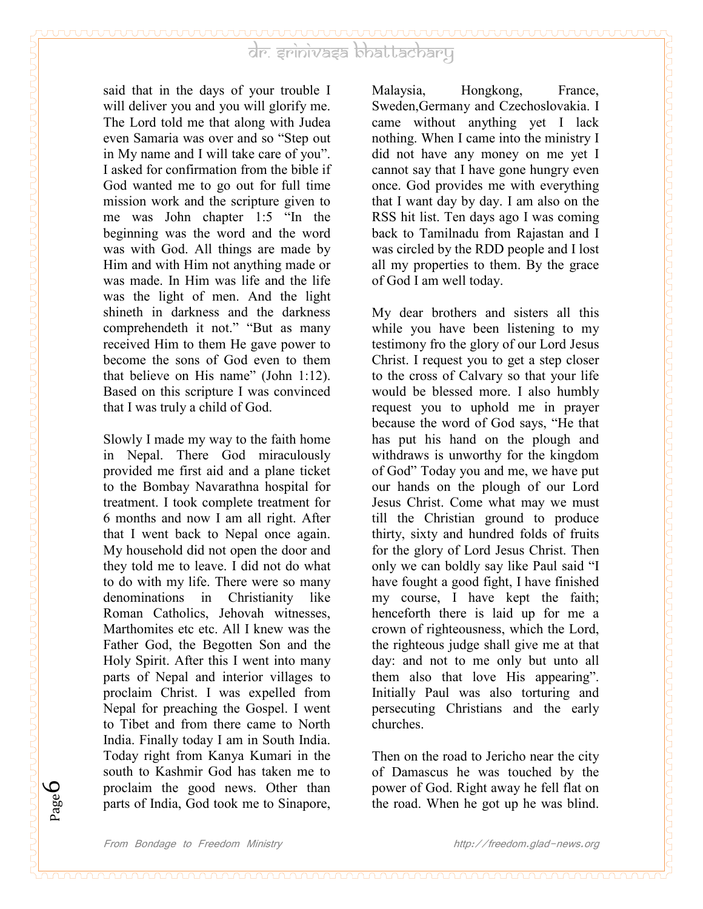said that in the days of your trouble I will deliver you and you will glorify me. The Lord told me that along with Judea even Samaria was over and so "Step out in My name and I will take care of you". I asked for confirmation from the bible if God wanted me to go out for full time mission work and the scripture given to me was John chapter 1:5 "In the beginning was the word and the word was with God. All things are made by Him and with Him not anything made or was made. In Him was life and the life was the light of men. And the light shineth in darkness and the darkness comprehendeth it not." "But as many received Him to them He gave power to become the sons of God even to them that believe on His name" (John 1:12). Based on this scripture I was convinced that I was truly a child of God.

Slowly I made my way to the faith home in Nepal. There God miraculously provided me first aid and a plane ticket to the Bombay Navarathna hospital for treatment. I took complete treatment for 6 months and now I am all right. After that I went back to Nepal once again. My household did not open the door and they told me to leave. I did not do what to do with my life. There were so many denominations in Christianity like Roman Catholics, Jehovah witnesses, Marthomites etc etc. All I knew was the Father God, the Begotten Son and the Holy Spirit. After this I went into many parts of Nepal and interior villages to proclaim Christ. I was expelled from Nepal for preaching the Gospel. I went to Tibet and from there came to North India. Finally today I am in South India. Today right from Kanya Kumari in the south to Kashmir God has taken me to proclaim the good news. Other than parts of India, God took me to Sinapore,

Malaysia, Hongkong, France, Sweden,Germany and Czechoslovakia. I came without anything yet I lack nothing. When I came into the ministry I did not have any money on me yet I cannot say that I have gone hungry even once. God provides me with everything that I want day by day. I am also on the RSS hit list. Ten days ago I was coming back to Tamilnadu from Rajastan and I was circled by the RDD people and I lost all my properties to them. By the grace of God I am well today.

My dear brothers and sisters all this while you have been listening to my testimony fro the glory of our Lord Jesus Christ. I request you to get a step closer to the cross of Calvary so that your life would be blessed more. I also humbly request you to uphold me in prayer because the word of God says, "He that has put his hand on the plough and withdraws is unworthy for the kingdom of God" Today you and me, we have put our hands on the plough of our Lord Jesus Christ. Come what may we must till the Christian ground to produce thirty, sixty and hundred folds of fruits for the glory of Lord Jesus Christ. Then only we can boldly say like Paul said "I have fought a good fight, I have finished my course, I have kept the faith; henceforth there is laid up for me a crown of righteousness, which the Lord, the righteous judge shall give me at that day: and not to me only but unto all them also that love His appearing". Initially Paul was also torturing and persecuting Christians and the early churches.

Then on the road to Jericho near the city of Damascus he was touched by the power of God. Right away he fell flat on the road. When he got up he was blind.

Page 6